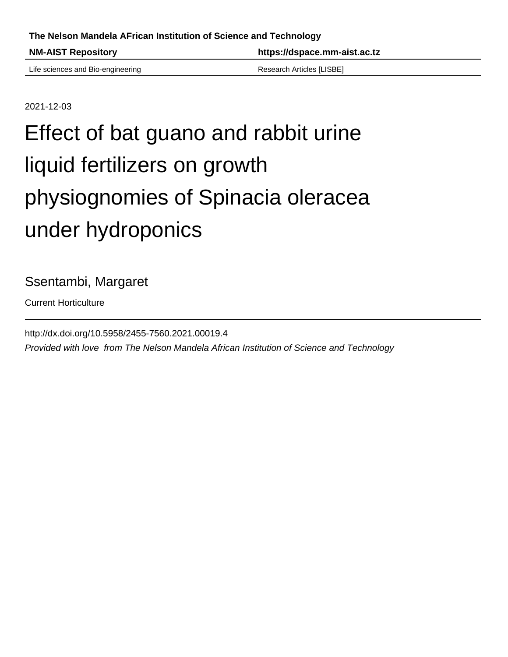**NM-AIST Repository https://dspace.mm-aist.ac.tz**

Life sciences and Bio-engineering The Contract Research Articles [LISBE]

2021-12-03

## Effect of bat guano and rabbit urine liquid fertilizers on growth physiognomies of Spinacia oleracea under hydroponics

Ssentambi, Margaret

Current Horticulture

http://dx.doi.org/10.5958/2455-7560.2021.00019.4 Provided with love from The Nelson Mandela African Institution of Science and Technology